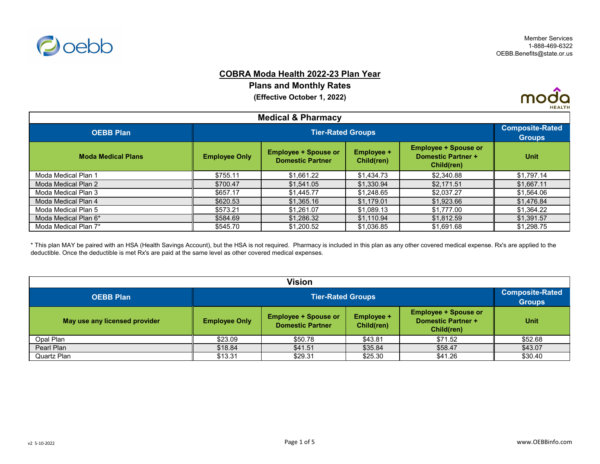

### **COBRA Moda Health 2022-23 Plan Year**

**Plans and Monthly Rates**

**(Effective October 1, 2022)**



| <b>Medical &amp; Pharmacy</b> |                      |                                                        |                                 |                                                                        |             |  |
|-------------------------------|----------------------|--------------------------------------------------------|---------------------------------|------------------------------------------------------------------------|-------------|--|
| <b>OEBB Plan</b>              |                      | <b>Tier-Rated Groups</b>                               |                                 |                                                                        |             |  |
| <b>Moda Medical Plans</b>     | <b>Employee Only</b> | <b>Employee + Spouse or</b><br><b>Domestic Partner</b> | <b>Employee +</b><br>Child(ren) | <b>Employee + Spouse or</b><br><b>Domestic Partner +</b><br>Child(ren) | <b>Unit</b> |  |
| Moda Medical Plan 1           | \$755.11             | \$1,661.22                                             | \$1,434.73                      | \$2,340.88                                                             | \$1,797.14  |  |
| Moda Medical Plan 2           | \$700.47             | \$1,541.05                                             | \$1,330.94                      | \$2,171.51                                                             | \$1,667.11  |  |
| Moda Medical Plan 3           | \$657.17             | \$1,445.77                                             | \$1,248.65                      | \$2,037.27                                                             | \$1,564.06  |  |
| Moda Medical Plan 4           | \$620.53             | \$1,365.16                                             | \$1,179.01                      | \$1,923.66                                                             | \$1,476.84  |  |
| Moda Medical Plan 5           | \$573.21             | \$1,261.07                                             | \$1,089.13                      | \$1,777.00                                                             | \$1,364.22  |  |
| Moda Medical Plan 6*          | \$584.69             | \$1,286.32                                             | \$1,110.94                      | \$1,812.59                                                             | \$1,391.57  |  |
| Moda Medical Plan 7*          | \$545.70             | \$1,200.52                                             | \$1,036.85                      | \$1,691.68                                                             | \$1,298.75  |  |

\* This plan MAY be paired with an HSA (Health Savings Account), but the HSA is not required. Pharmacy is included in this plan as any other covered medical expense. Rx's are applied to the deductible. Once the deductible is met Rx's are paid at the same level as other covered medical expenses.

| <b>Vision</b>                 |                      |                                                                                                                                                                     |         |         |         |  |  |
|-------------------------------|----------------------|---------------------------------------------------------------------------------------------------------------------------------------------------------------------|---------|---------|---------|--|--|
| <b>OEBB Plan</b>              |                      | <b>Tier-Rated Groups</b>                                                                                                                                            |         |         |         |  |  |
| May use any licensed provider | <b>Employee Only</b> | <b>Employee + Spouse or</b><br><b>Employee + Spouse or</b><br><b>Employee +</b><br><b>Domestic Partner +</b><br><b>Domestic Partner</b><br>Child(ren)<br>Child(ren) |         |         |         |  |  |
| Opal Plan                     | \$23.09              | \$50.78                                                                                                                                                             | \$43.81 | \$71.52 | \$52.68 |  |  |
| Pearl Plan                    | \$18.84              | \$41.51                                                                                                                                                             | \$35.84 | \$58.47 | \$43.07 |  |  |
| Quartz Plan                   | \$13.31              | \$29.31                                                                                                                                                             | \$25.30 | \$41.26 | \$30.40 |  |  |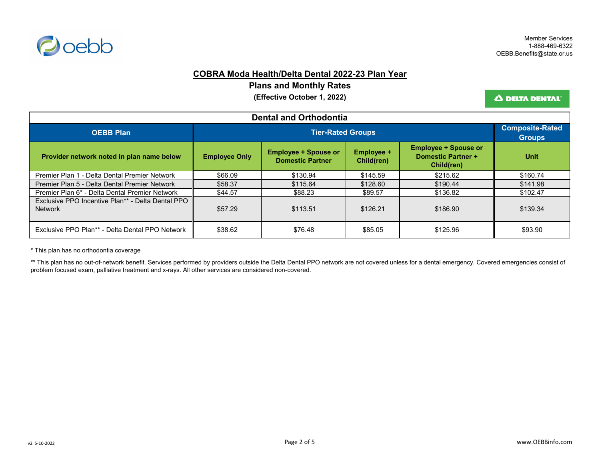

### **COBRA Moda Health/Delta Dental 2022-23 Plan Year**

**Plans and Monthly Rates**

**(Effective October 1, 2022)**

Δ DELTA DENTAL'

| <b>Dental and Orthodontia</b>                                       |                      |                                                        |                                 |                                                                        |             |  |
|---------------------------------------------------------------------|----------------------|--------------------------------------------------------|---------------------------------|------------------------------------------------------------------------|-------------|--|
| <b>OEBB Plan</b>                                                    |                      | <b>Tier-Rated Groups</b>                               |                                 |                                                                        |             |  |
| Provider network noted in plan name below                           | <b>Employee Only</b> | <b>Employee + Spouse or</b><br><b>Domestic Partner</b> | <b>Employee +</b><br>Child(ren) | <b>Employee + Spouse or</b><br><b>Domestic Partner +</b><br>Child(ren) | <b>Unit</b> |  |
| Premier Plan 1 - Delta Dental Premier Network                       | \$66.09              | \$130.94                                               | \$145.59                        | \$215.62                                                               | \$160.74    |  |
| Premier Plan 5 - Delta Dental Premier Network                       | \$58.37              | \$115.64                                               | \$128.60                        | \$190.44                                                               | \$141.98    |  |
| Premier Plan 6* - Delta Dental Premier Network                      | \$44.57              | \$88.23                                                | \$89.57                         | \$136.82                                                               | \$102.47    |  |
| Exclusive PPO Incentive Plan** - Delta Dental PPO<br><b>Network</b> | \$57.29              | \$113.51                                               | \$126.21                        | \$186.90                                                               | \$139.34    |  |
| Exclusive PPO Plan** - Delta Dental PPO Network                     | \$38.62              | \$76.48                                                | \$85.05                         | \$125.96                                                               | \$93.90     |  |

\* This plan has no orthodontia coverage

\*\* This plan has no out-of-network benefit. Services performed by providers outside the Delta Dental PPO network are not covered unless for a dental emergency. Covered emergencies consist of problem focused exam, palliative treatment and x-rays. All other services are considered non-covered.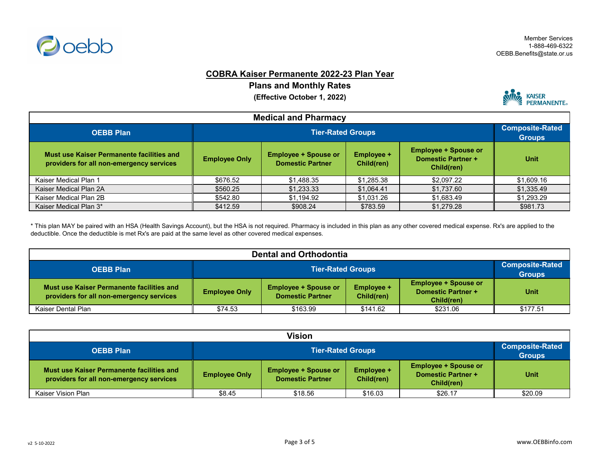

### **COBRA Kaiser Permanente 2022-23 Plan Year**

**Plans and Monthly Rates**

**(Effective October 1, 2022)**



| <b>Medical and Pharmacy</b>                                                           |                      |                          |            |            |            |  |
|---------------------------------------------------------------------------------------|----------------------|--------------------------|------------|------------|------------|--|
| <b>OEBB Plan</b>                                                                      |                      | <b>Tier-Rated Groups</b> |            |            |            |  |
| Must use Kaiser Permanente facilities and<br>providers for all non-emergency services | <b>Employee Only</b> | <b>Unit</b>              |            |            |            |  |
| Kaiser Medical Plan 1                                                                 | \$676.52             | \$1,488.35               | \$1,285.38 | \$2,097.22 | \$1,609.16 |  |
| Kaiser Medical Plan 2A                                                                | \$560.25             | \$1,233.33               | \$1,064.41 | \$1,737.60 | \$1,335.49 |  |
| Kaiser Medical Plan 2B                                                                | \$542.80             | \$1,194.92               | \$1,031.26 | \$1,683.49 | \$1,293.29 |  |
| Kaiser Medical Plan 3*                                                                | \$412.59             | \$908.24                 | \$783.59   | \$1,279.28 | \$981.73   |  |

\* This plan MAY be paired with an HSA (Health Savings Account), but the HSA is not required. Pharmacy is included in this plan as any other covered medical expense. Rx's are applied to the deductible. Once the deductible is met Rx's are paid at the same level as other covered medical expenses.

| <b>Dental and Orthodontia</b>                                                         |                          |                                                                                                                                                              |          |          |                                         |  |
|---------------------------------------------------------------------------------------|--------------------------|--------------------------------------------------------------------------------------------------------------------------------------------------------------|----------|----------|-----------------------------------------|--|
| <b>OEBB Plan</b>                                                                      | <b>Tier-Rated Groups</b> |                                                                                                                                                              |          |          | <b>Composite-Rated</b><br><b>Groups</b> |  |
| Must use Kaiser Permanente facilities and<br>providers for all non-emergency services | <b>Employee Only</b>     | <b>Employee + Spouse or</b><br><b>Employee + Spouse or</b><br><b>Employee +</b><br>Domestic Partner +<br><b>Domestic Partner</b><br>Child(ren)<br>Child(ren) |          |          |                                         |  |
| Kaiser Dental Plan                                                                    | \$74.53                  | \$163.99                                                                                                                                                     | \$141.62 | \$231.06 | \$177.51                                |  |

| <b>Vision</b>                                                                         |                      |                                                                                                                                                              |         |         |         |  |
|---------------------------------------------------------------------------------------|----------------------|--------------------------------------------------------------------------------------------------------------------------------------------------------------|---------|---------|---------|--|
| <b>OEBB Plan</b>                                                                      |                      | <b>Tier-Rated Groups</b>                                                                                                                                     |         |         |         |  |
| Must use Kaiser Permanente facilities and<br>providers for all non-emergency services | <b>Employee Only</b> | <b>Employee + Spouse or</b><br><b>Employee + Spouse or</b><br><b>Employee +</b><br>Domestic Partner +<br><b>Domestic Partner</b><br>Child(ren)<br>Child(ren) |         |         |         |  |
| Kaiser Vision Plan                                                                    | \$8.45               | \$18.56                                                                                                                                                      | \$16.03 | \$26.17 | \$20.09 |  |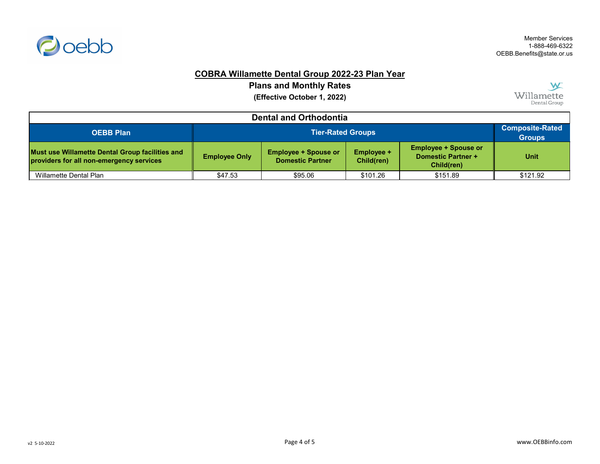

## **COBRA Willamette Dental Group 2022-23 Plan Year**

**Plans and Monthly Rates**

**(Effective October 1, 2022)**



| <b>Dental and Orthodontia</b>                                                               |                          |                                                                                                                                                                     |          |          |                                         |  |
|---------------------------------------------------------------------------------------------|--------------------------|---------------------------------------------------------------------------------------------------------------------------------------------------------------------|----------|----------|-----------------------------------------|--|
| <b>OEBB Plan</b>                                                                            | <b>Tier-Rated Groups</b> |                                                                                                                                                                     |          |          | <b>Composite-Rated</b><br><b>Groups</b> |  |
| Must use Willamette Dental Group facilities and<br>providers for all non-emergency services | <b>Employee Only</b>     | <b>Employee + Spouse or</b><br><b>Employee + Spouse or</b><br><b>Employee +</b><br><b>Domestic Partner +</b><br><b>Domestic Partner</b><br>Child(ren)<br>Child(ren) |          |          |                                         |  |
| <b>Willamette Dental Plan</b>                                                               | \$47.53                  | \$95.06                                                                                                                                                             | \$101.26 | \$151.89 | \$121.92                                |  |